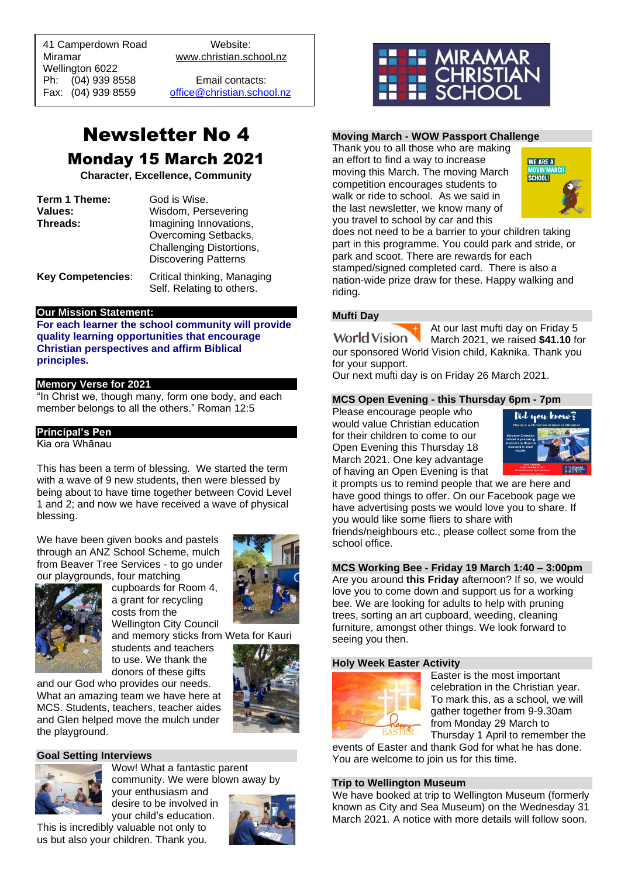41 Camperdown Road Website: Miramar www.christian.school.nz Wellington 6022 Ph: (04) 939 8558 Email contacts:

 $\overline{a}$ 

Fax: (04) 939 8559 [office@christian.school.nz](mailto:office@christian.school.nz)

### Newsletter No 4 Monday 15 March 2021

**Character, Excellence, Community**

| Term 1 Theme:            | God is Wise.                                             |
|--------------------------|----------------------------------------------------------|
| Values:                  | Wisdom, Persevering                                      |
| Threads:                 | Imagining Innovations,                                   |
|                          | Overcoming Setbacks,                                     |
|                          | Challenging Distortions,                                 |
|                          | <b>Discovering Patterns</b>                              |
| <b>Key Competencies:</b> | Critical thinking, Managing<br>Self. Relating to others. |

#### **Our Mission Statement:**

**For each learner the school community will provide quality learning opportunities that encourage Christian perspectives and affirm Biblical principles***.*

#### **Memory Verse for 2021**

"In Christ we, though many, form one body, and each member belongs to all the others." Roman 12:5

#### **Principal's Pen**

Kia ora Whānau

This has been a term of blessing. We started the term with a wave of 9 new students, then were blessed by being about to have time together between Covid Level 1 and 2; and now we have received a wave of physical blessing.

We have been given books and pastels through an ANZ School Scheme, mulch from Beaver Tree Services - to go under our playgrounds, four matching



cupboards for Room 4, a grant for recycling costs from the Wellington City Council and memory sticks from Weta for Kauri students and teachers

to use. We thank the



donors of these gifts and our God who provides our needs. What an amazing team we have here at MCS. Students, teachers, teacher aides and Glen helped move the mulch under the playground.

#### **Goal Setting Interviews**



Wow! What a fantastic parent community. We were blown away by your enthusiasm and

desire to be involved in your child's education. This is incredibly valuable not only to us but also your children. Thank you.





#### **Moving March - WOW Passport Challenge**

Thank you to all those who are making an effort to find a way to increase moving this March. The moving March competition encourages students to walk or ride to school. As we said in the last newsletter, we know many of you travel to school by car and this



does not need to be a barrier to your children taking part in this programme. You could park and stride, or park and scoot. There are rewards for each stamped/signed completed card. There is also a nation-wide prize draw for these. Happy walking and riding.

#### **Mufti Day**

At our last mufti day on Friday 5 **World Vision** March 2021, we raised **\$41.10** for our sponsored World Vision child, Kaknika. Thank you for your support.

Our next mufti day is on Friday 26 March 2021.

#### **MCS Open Evening - this Thursday 6pm - 7pm**

Please encourage people who would value Christian education for their children to come to our Open Evening this Thursday 18 March 2021. One key advantage of having an Open Evening is that



it prompts us to remind people that we are here and have good things to offer. On our Facebook page we have advertising posts we would love you to share. If you would like some fliers to share with friends/neighbours etc., please collect some from the school office.

#### **MCS Working Bee - Friday 19 March 1:40 – 3:00pm**

Are you around **this Friday** afternoon? If so, we would love you to come down and support us for a working bee. We are looking for adults to help with pruning trees, sorting an art cupboard, weeding, cleaning furniture, amongst other things. We look forward to seeing you then.

#### **Holy Week Easter Activity**



Easter is the most important celebration in the Christian year. To mark this, as a school, we will gather together from 9-9.30am from Monday 29 March to Thursday 1 April to remember the

events of Easter and thank God for what he has done. You are welcome to join us for this time.

#### **Trip to Wellington Museum**

We have booked at trip to Wellington Museum (formerly known as City and Sea Museum) on the Wednesday 31 March 2021. A notice with more details will follow soon.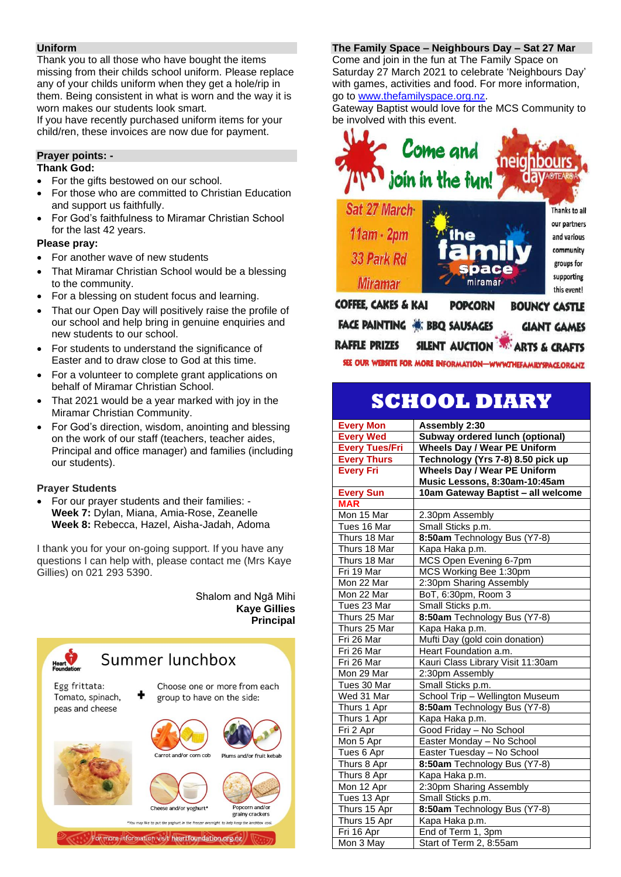#### **Uniform**

Thank you to all those who have bought the items missing from their childs school uniform. Please replace any of your childs uniform when they get a hole/rip in them. Being consistent in what is worn and the way it is worn makes our students look smart.

If you have recently purchased uniform items for your child/ren, these invoices are now due for payment.

#### **Prayer points: -**

#### **Thank God:**

- For the gifts bestowed on our school.
- For those who are committed to Christian Education and support us faithfully.
- For God's faithfulness to Miramar Christian School for the last 42 years.

#### **Please pray:**

- For another wave of new students
- That Miramar Christian School would be a blessing to the community.
- For a blessing on student focus and learning.
- That our Open Day will positively raise the profile of our school and help bring in genuine enquiries and new students to our school.
- For students to understand the significance of Easter and to draw close to God at this time.
- For a volunteer to complete grant applications on behalf of Miramar Christian School.
- That 2021 would be a year marked with joy in the Miramar Christian Community.
- For God's direction, wisdom, anointing and blessing on the work of our staff (teachers, teacher aides, Principal and office manager) and families (including our students).

#### **Prayer Students**

• For our prayer students and their families: - **Week 7:** Dylan, Miana, Amia-Rose, Zeanelle **Week 8:** Rebecca, Hazel, Aisha-Jadah, Adoma

I thank you for your on-going support. If you have any questions I can help with, please contact me (Mrs Kaye Gillies) on 021 293 5390.

#### Shalom and Ngā Mihi **Kaye Gillies Principal**



#### For more information visit heartfoundation.org.nz

#### **The Family Space – Neighbours Day – Sat 27 Mar**

Come and join in the fun at The Family Space on Saturday 27 March 2021 to celebrate 'Neighbours Day' with games, activities and food. For more information, go to [www.thefamilyspace.org.nz.](http://www.thefamilyspace.org.nz/)

Gateway Baptist would love for the MCS Community to be involved with this event.



SILENT AUCTION ARTS & CRAFTS **RAFFLE PRIZES** 

SEE OUR WEBSITE FOR MORE INFORMATION-WWWTHEFAMILYSPACE ORGNZ

## **SCHOOL DIARY**

| <b>Every Mon</b>      | Assembly 2:30                       |
|-----------------------|-------------------------------------|
| <b>Every Wed</b>      | Subway ordered lunch (optional)     |
| <b>Every Tues/Fri</b> | <b>Wheels Day / Wear PE Uniform</b> |
| <b>Every Thurs</b>    | Technology (Yrs 7-8) 8.50 pick up   |
| <b>Every Fri</b>      | <b>Wheels Day / Wear PE Uniform</b> |
|                       | Music Lessons, 8:30am-10:45am       |
| <b>Every Sun</b>      | 10am Gateway Baptist - all welcome  |
| <b>MAR</b>            |                                     |
| Mon 15 Mar            | 2.30pm Assembly                     |
| Tues 16 Mar           | Small Sticks p.m.                   |
| Thurs 18 Mar          | 8:50am Technology Bus (Y7-8)        |
| Thurs 18 Mar          | Kapa Haka p.m.                      |
| Thurs 18 Mar          | MCS Open Evening 6-7pm              |
| Fri 19 Mar            | MCS Working Bee 1:30pm              |
| Mon 22 Mar            | 2:30pm Sharing Assembly             |
| Mon 22 Mar            | BoT, 6:30pm, Room 3                 |
| Tues 23 Mar           | Small Sticks p.m.                   |
| Thurs 25 Mar          | 8:50am Technology Bus (Y7-8)        |
| Thurs 25 Mar          | Kapa Haka p.m.                      |
| Fri 26 Mar            | Mufti Day (gold coin donation)      |
| Fri 26 Mar            | Heart Foundation a.m.               |
| Fri 26 Mar            | Kauri Class Library Visit 11:30am   |
| Mon 29 Mar            | 2:30pm Assembly                     |
| Tues 30 Mar           | Small Sticks p.m.                   |
| Wed 31 Mar            | School Trip - Wellington Museum     |
| Thurs 1 Apr           | 8:50am Technology Bus (Y7-8)        |
| Thurs 1 Apr           | Kapa Haka p.m.                      |
| Fri 2 Apr             | Good Friday - No School             |
| Mon 5 Apr             | Easter Monday - No School           |
| Tues 6 Apr            | Easter Tuesday - No School          |
| Thurs 8 Apr           | 8:50am Technology Bus (Y7-8)        |
| Thurs 8 Apr           | Kapa Haka p.m.                      |
| Mon 12 Apr            | 2:30pm Sharing Assembly             |
| Tues 13 Apr           | Small Sticks p.m.                   |
| Thurs 15 Apr          | 8:50am Technology Bus (Y7-8)        |
| Thurs 15 Apr          | Kapa Haka p.m.                      |
| Fri 16 Apr            | End of Term 1, 3pm                  |
| Mon 3 May             | Start of Term 2, 8:55am             |